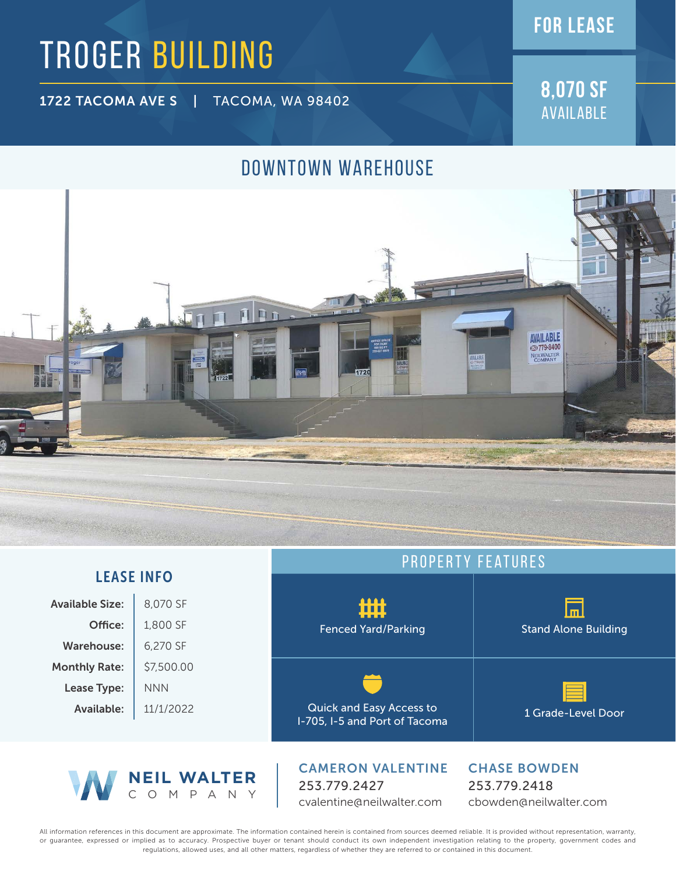# TROGER BUILDING

1722 TACOMA AVE S | TACOMA, WA 98402

COMPANY

**8,070 SF** Available

**FOR lease**

## DOWNTOWN WAREHOUSE



|                        |            | PROPERTY FEATURES                                                |                                     |
|------------------------|------------|------------------------------------------------------------------|-------------------------------------|
| <b>LEASE INFO</b>      |            |                                                                  |                                     |
| <b>Available Size:</b> | 8,070 SF   | ம்ப்                                                             |                                     |
| Office:                | 1,800 SF   | <b>Fenced Yard/Parking</b>                                       | <b>Stand Alone Building</b>         |
| Warehouse:             | 6,270 SF   |                                                                  |                                     |
| <b>Monthly Rate:</b>   | \$7,500.00 |                                                                  |                                     |
| Lease Type:            | <b>NNN</b> |                                                                  |                                     |
| Available:             | 11/1/2022  | <b>Quick and Easy Access to</b><br>I-705, I-5 and Port of Tacoma | 1 Grade-Level Door                  |
| <b>NEIL WALTER</b>     |            | <b>CAMERON VALENTINE</b><br>253 770 2127                         | <b>CHASE BOWDEN</b><br>253 770 2418 |

253.779.2427 cvalentine@neilwalter.com 253.779.2418 cbowden@neilwalter.com

All information references in this document are approximate. The information contained herein is contained from sources deemed reliable. It is provided without representation, warranty, or guarantee, expressed or implied as to accuracy. Prospective buyer or tenant should conduct its own independent investigation relating to the property, government codes and regulations, allowed uses, and all other matters, regardless of whether they are referred to or contained in this document.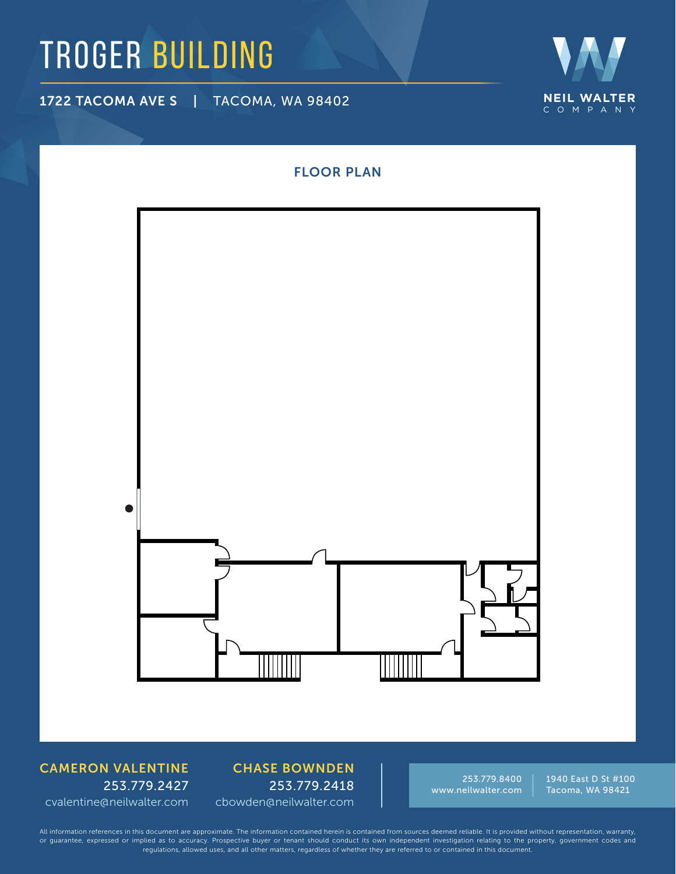## TROGER BUILDING

1722 TACOMA AVE S | TACOMA, WA 98402



# FLOOR PLAN▲

### CAMERON VALENTINE 253.779.2427 cvalentine@neilwalter.com

CHASE BOWNDEN 253.779.2418 cbowden@neilwalter.com

253.779.8400 www.neilwalter.com 1940 East D St #100 Tacoma, WA 98421

All information references in this document are approximate. The information contained herein is contained from sources deemed reliable. It is provided without representation, warranty, or guarantee, expressed or implied as to accuracy. Prospective buyer or tenant should conduct its own independent investigation relating to the property, government codes and regulations, allowed uses, and all other matters, regardless of whether they are referred to or contained in this document.